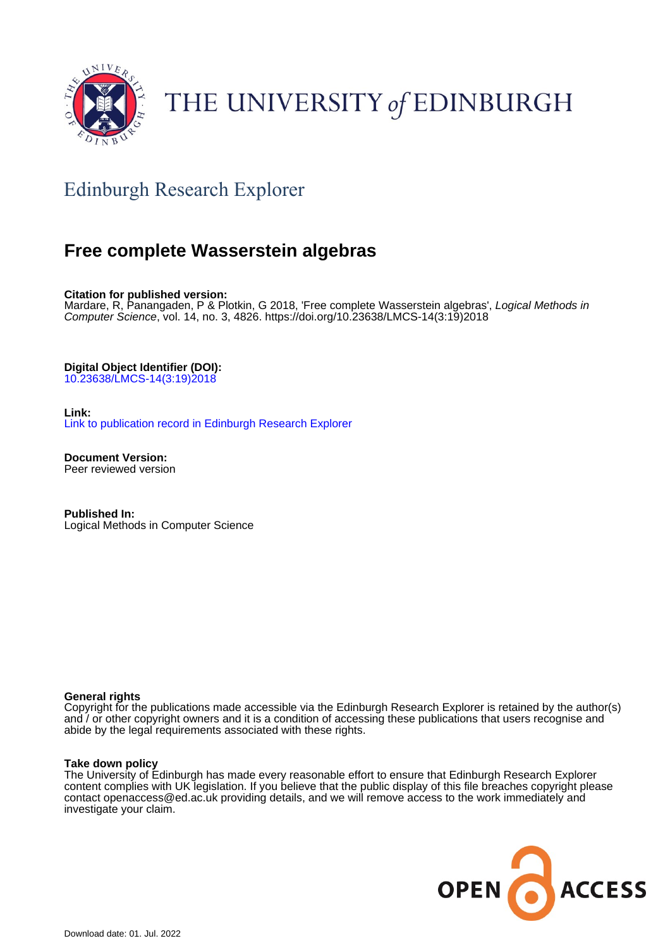

# THE UNIVERSITY of EDINBURGH

# Edinburgh Research Explorer

# **Free complete Wasserstein algebras**

**Citation for published version:**

Mardare, R, Panangaden, P & Plotkin, G 2018, 'Free complete Wasserstein algebras', Logical Methods in Computer Science, vol. 14, no. 3, 4826. [https://doi.org/10.23638/LMCS-14\(3:19\)2018](https://doi.org/10.23638/LMCS-14(3:19)2018)

**Digital Object Identifier (DOI):**

[10.23638/LMCS-14\(3:19\)2018](https://doi.org/10.23638/LMCS-14(3:19)2018)

**Link:**

[Link to publication record in Edinburgh Research Explorer](https://www.research.ed.ac.uk/en/publications/1dc1f39d-a1e9-45ef-908a-194dbac26ebf)

**Document Version:** Peer reviewed version

**Published In:** Logical Methods in Computer Science

# **General rights**

Copyright for the publications made accessible via the Edinburgh Research Explorer is retained by the author(s) and / or other copyright owners and it is a condition of accessing these publications that users recognise and abide by the legal requirements associated with these rights.

# **Take down policy**

The University of Edinburgh has made every reasonable effort to ensure that Edinburgh Research Explorer content complies with UK legislation. If you believe that the public display of this file breaches copyright please contact openaccess@ed.ac.uk providing details, and we will remove access to the work immediately and investigate your claim.

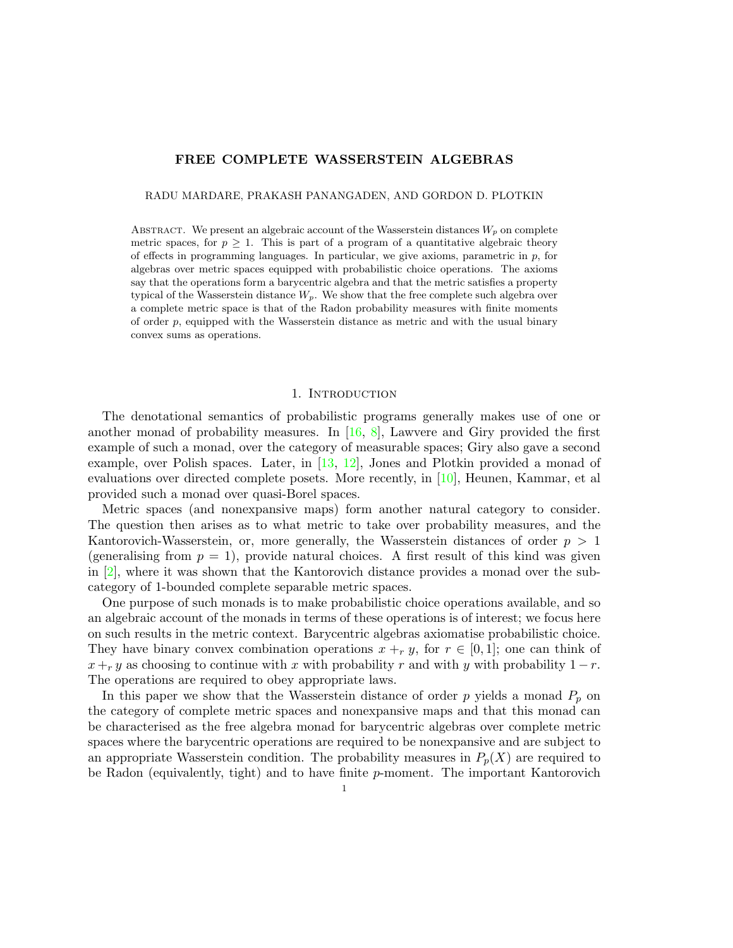# FREE COMPLETE WASSERSTEIN ALGEBRAS

RADU MARDARE, PRAKASH PANANGADEN, AND GORDON D. PLOTKIN

ABSTRACT. We present an algebraic account of the Wasserstein distances  $W_p$  on complete metric spaces, for  $p \geq 1$ . This is part of a program of a quantitative algebraic theory of effects in programming languages. In particular, we give axioms, parametric in  $p$ , for algebras over metric spaces equipped with probabilistic choice operations. The axioms say that the operations form a barycentric algebra and that the metric satisfies a property typical of the Wasserstein distance  $W_p$ . We show that the free complete such algebra over a complete metric space is that of the Radon probability measures with finite moments of order  $p$ , equipped with the Wasserstein distance as metric and with the usual binary convex sums as operations.

#### 1. INTRODUCTION

The denotational semantics of probabilistic programs generally makes use of one or another monad of probability measures. In  $[16, 8]$  $[16, 8]$  $[16, 8]$ , Lawvere and Giry provided the first example of such a monad, over the category of measurable spaces; Giry also gave a second example, over Polish spaces. Later, in  $[13, 12]$  $[13, 12]$  $[13, 12]$ , Jones and Plotkin provided a monad of evaluations over directed complete posets. More recently, in  $[10]$ , Heunen, Kammar, et al provided such a monad over quasi-Borel spaces.

Metric spaces (and nonexpansive maps) form another natural category to consider. The question then arises as to what metric to take over probability measures, and the Kantorovich-Wasserstein, or, more generally, the Wasserstein distances of order  $p > 1$ (generalising from  $p = 1$ ), provide natural choices. A first result of this kind was given in [\[2\]](#page-17-0), where it was shown that the Kantorovich distance provides a monad over the subcategory of 1-bounded complete separable metric spaces.

One purpose of such monads is to make probabilistic choice operations available, and so an algebraic account of the monads in terms of these operations is of interest; we focus here on such results in the metric context. Barycentric algebras axiomatise probabilistic choice. They have binary convex combination operations  $x +_r y$ , for  $r \in [0,1]$ ; one can think of  $x +_r y$  as choosing to continue with x with probability r and with y with probability  $1 - r$ . The operations are required to obey appropriate laws.

In this paper we show that the Wasserstein distance of order  $p$  yields a monad  $P_p$  on the category of complete metric spaces and nonexpansive maps and that this monad can be characterised as the free algebra monad for barycentric algebras over complete metric spaces where the barycentric operations are required to be nonexpansive and are subject to an appropriate Wasserstein condition. The probability measures in  $P_p(X)$  are required to be Radon (equivalently, tight) and to have finite p-moment. The important Kantorovich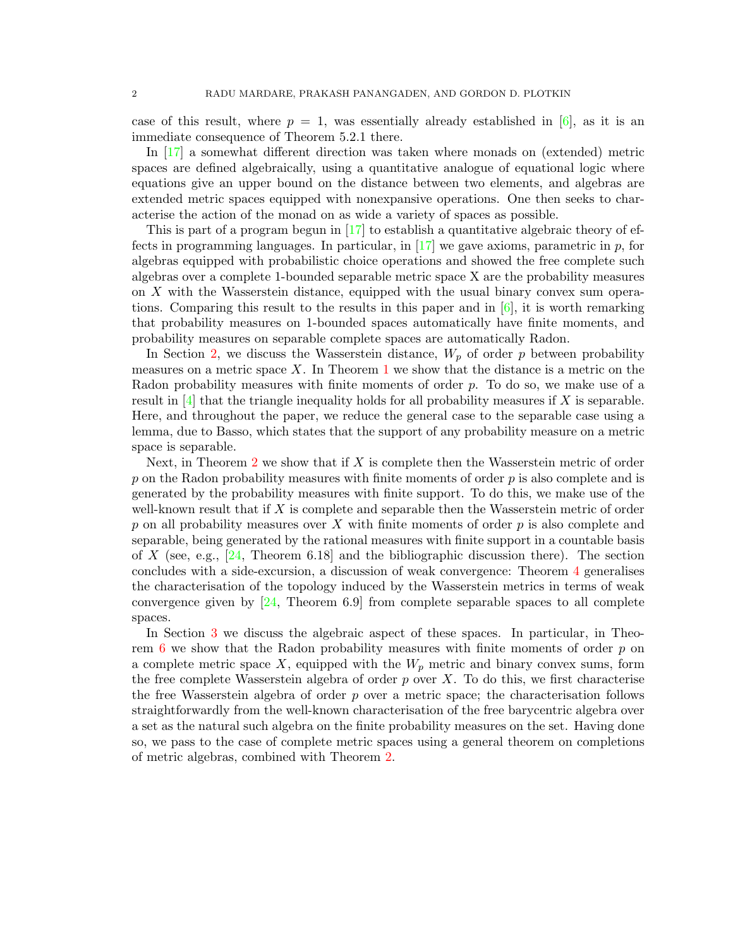case of this result, where  $p = 1$ , was essentially already established in [\[6\]](#page-18-5), as it is an immediate consequence of Theorem 5.2.1 there.

In [\[17\]](#page-18-6) a somewhat different direction was taken where monads on (extended) metric spaces are defined algebraically, using a quantitative analogue of equational logic where equations give an upper bound on the distance between two elements, and algebras are extended metric spaces equipped with nonexpansive operations. One then seeks to characterise the action of the monad on as wide a variety of spaces as possible.

This is part of a program begun in  $\left|17\right|$  to establish a quantitative algebraic theory of effects in programming languages. In particular, in  $[17]$  we gave axioms, parametric in p, for algebras equipped with probabilistic choice operations and showed the free complete such algebras over a complete 1-bounded separable metric space X are the probability measures on X with the Wasserstein distance, equipped with the usual binary convex sum operations. Comparing this result to the results in this paper and in  $[6]$ , it is worth remarking that probability measures on 1-bounded spaces automatically have finite moments, and probability measures on separable complete spaces are automatically Radon.

In Section [2,](#page-3-0) we discuss the Wasserstein distance,  $W_p$  of order p between probability measures on a metric space  $X$ . In Theorem [1](#page-7-0) we show that the distance is a metric on the Radon probability measures with finite moments of order p. To do so, we make use of a result in  $[4]$  that the triangle inequality holds for all probability measures if X is separable. Here, and throughout the paper, we reduce the general case to the separable case using a lemma, due to Basso, which states that the support of any probability measure on a metric space is separable.

Next, in Theorem [2](#page-7-1) we show that if  $X$  is complete then the Wasserstein metric of order  $p$  on the Radon probability measures with finite moments of order  $p$  is also complete and is generated by the probability measures with finite support. To do this, we make use of the well-known result that if  $X$  is complete and separable then the Wasserstein metric of order p on all probability measures over X with finite moments of order  $p$  is also complete and separable, being generated by the rational measures with finite support in a countable basis of X (see, e.g.,  $[24,$  Theorem 6.18] and the bibliographic discussion there). The section concludes with a side-excursion, a discussion of weak convergence: Theorem [4](#page-9-0) generalises the characterisation of the topology induced by the Wasserstein metrics in terms of weak convergence given by [\[24,](#page-18-8) Theorem 6.9] from complete separable spaces to all complete spaces.

In Section [3](#page-10-0) we discuss the algebraic aspect of these spaces. In particular, in Theorem  $6$  we show that the Radon probability measures with finite moments of order  $p$  on a complete metric space X, equipped with the  $W_p$  metric and binary convex sums, form the free complete Wasserstein algebra of order  $p$  over  $X$ . To do this, we first characterise the free Wasserstein algebra of order  $p$  over a metric space; the characterisation follows straightforwardly from the well-known characterisation of the free barycentric algebra over a set as the natural such algebra on the finite probability measures on the set. Having done so, we pass to the case of complete metric spaces using a general theorem on completions of metric algebras, combined with Theorem [2.](#page-7-1)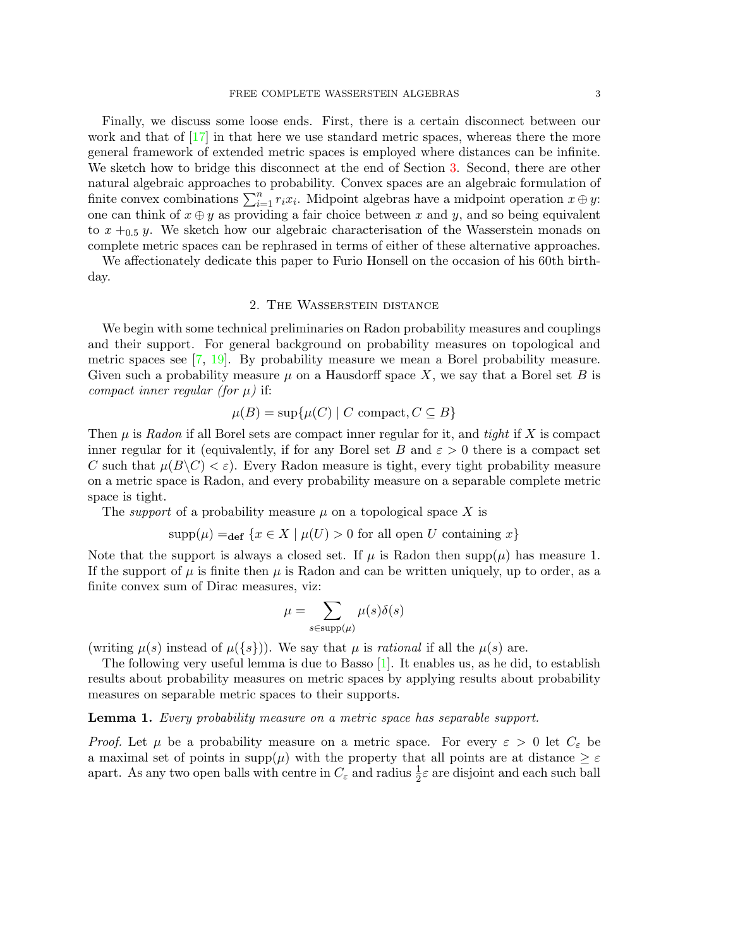#### FREE COMPLETE WASSERSTEIN ALGEBRAS 3

Finally, we discuss some loose ends. First, there is a certain disconnect between our work and that of  $\left[17\right]$  in that here we use standard metric spaces, whereas there the more general framework of extended metric spaces is employed where distances can be infinite. We sketch how to bridge this disconnect at the end of Section [3.](#page-10-0) Second, there are other natural algebraic approaches to probability. Convex spaces are an algebraic formulation of finite convex combinations  $\sum_{i=1}^{n} r_i x_i$ . Midpoint algebras have a midpoint operation  $x \oplus y$ : one can think of  $x \oplus y$  as providing a fair choice between x and y, and so being equivalent to  $x +_{0.5} y$ . We sketch how our algebraic characterisation of the Wasserstein monads on complete metric spaces can be rephrased in terms of either of these alternative approaches.

We affectionately dedicate this paper to Furio Honsell on the occasion of his 60th birthday.

# 2. The Wasserstein distance

<span id="page-3-0"></span>We begin with some technical preliminaries on Radon probability measures and couplings and their support. For general background on probability measures on topological and metric spaces see [\[7,](#page-18-9) [19\]](#page-18-10). By probability measure we mean a Borel probability measure. Given such a probability measure  $\mu$  on a Hausdorff space X, we say that a Borel set B is compact inner regular (for  $\mu$ ) if:

$$
\mu(B) = \sup \{ \mu(C) \mid C \text{ compact}, C \subseteq B \}
$$

Then  $\mu$  is Radon if all Borel sets are compact inner regular for it, and tight if X is compact inner regular for it (equivalently, if for any Borel set B and  $\varepsilon > 0$  there is a compact set C such that  $\mu(B\setminus C)<\varepsilon$ . Every Radon measure is tight, every tight probability measure on a metric space is Radon, and every probability measure on a separable complete metric space is tight.

The *support* of a probability measure  $\mu$  on a topological space X is

$$
supp(\mu) =_{def} \{x \in X \mid \mu(U) > 0 \text{ for all open } U \text{ containing } x\}
$$

Note that the support is always a closed set. If  $\mu$  is Radon then supp $(\mu)$  has measure 1. If the support of  $\mu$  is finite then  $\mu$  is Radon and can be written uniquely, up to order, as a finite convex sum of Dirac measures, viz:

$$
\mu = \sum_{s \in \text{supp}(\mu)} \mu(s)\delta(s)
$$

(writing  $\mu(s)$  instead of  $\mu({s})$ ). We say that  $\mu$  is rational if all the  $\mu(s)$  are.

The following very useful lemma is due to Basso  $[1]$ . It enables us, as he did, to establish results about probability measures on metric spaces by applying results about probability measures on separable metric spaces to their supports.

### <span id="page-3-1"></span>**Lemma 1.** Every probability measure on a metric space has separable support.

*Proof.* Let  $\mu$  be a probability measure on a metric space. For every  $\varepsilon > 0$  let  $C_{\varepsilon}$  be a maximal set of points in  $\text{supp}(\mu)$  with the property that all points are at distance  $\geq \varepsilon$ apart. As any two open balls with centre in  $C_{\varepsilon}$  and radius  $\frac{1}{2}\varepsilon$  are disjoint and each such ball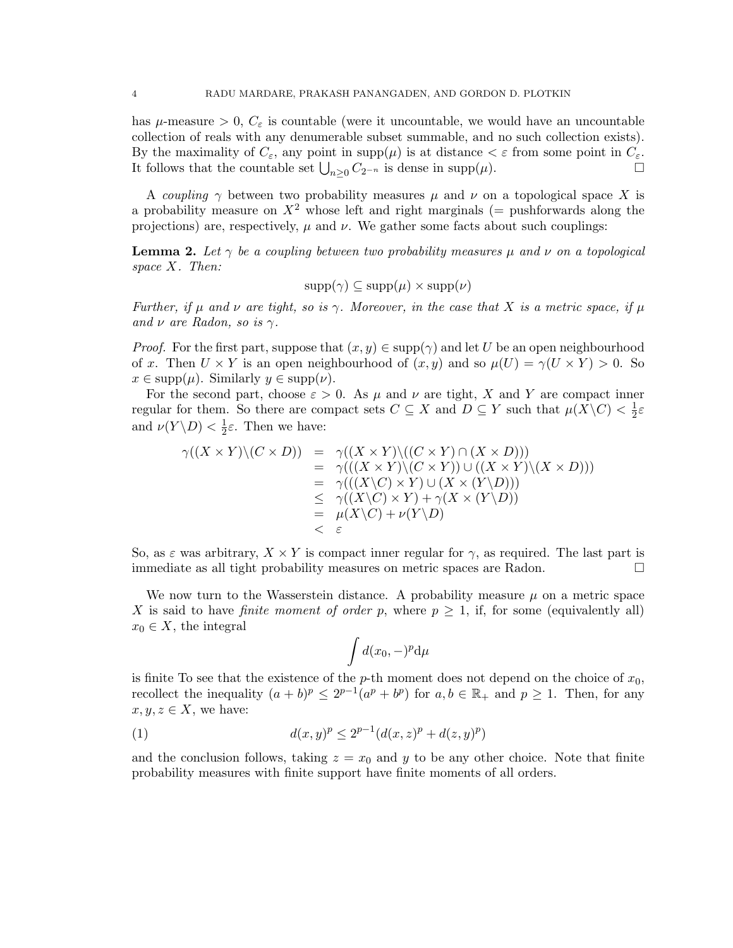has  $\mu$ -measure  $> 0$ ,  $C_{\varepsilon}$  is countable (were it uncountable, we would have an uncountable collection of reals with any denumerable subset summable, and no such collection exists). By the maximality of  $C_{\varepsilon}$ , any point in supp $(\mu)$  is at distance  $\lt \varepsilon$  from some point in  $C_{\varepsilon}$ . It follows that the countable set  $\bigcup_{n\geq 0} C_{2^{-n}}$  is dense in supp( $\mu$ ). □

A coupling  $\gamma$  between two probability measures  $\mu$  and  $\nu$  on a topological space X is a probability measure on  $X^2$  whose left and right marginals (= pushforwards along the projections) are, respectively,  $\mu$  and  $\nu$ . We gather some facts about such couplings:

<span id="page-4-0"></span>**Lemma 2.** Let  $\gamma$  be a coupling between two probability measures  $\mu$  and  $\nu$  on a topological space X. Then:

$$
supp(\gamma) \subseteq supp(\mu) \times supp(\nu)
$$

Further, if  $\mu$  and  $\nu$  are tight, so is  $\gamma$ . Moreover, in the case that X is a metric space, if  $\mu$ and  $\nu$  are Radon, so is  $\gamma$ .

*Proof.* For the first part, suppose that  $(x, y) \in \text{supp}(\gamma)$  and let U be an open neighbourhood of x. Then  $U \times Y$  is an open neighbourhood of  $(x, y)$  and so  $\mu(U) = \gamma(U \times Y) > 0$ . So  $x \in \text{supp}(\mu)$ . Similarly  $y \in \text{supp}(\nu)$ .

For the second part, choose  $\varepsilon > 0$ . As  $\mu$  and  $\nu$  are tight, X and Y are compact inner regular for them. So there are compact sets  $C \subseteq X$  and  $D \subseteq Y$  such that  $\mu(X \backslash C) < \frac{1}{2}$  $rac{1}{2}\varepsilon$ and  $\nu(Y \backslash D) < \frac{1}{2}$  $\frac{1}{2}\varepsilon$ . Then we have:

$$
\gamma((X \times Y)\setminus (C \times D)) = \gamma((X \times Y)\setminus ((C \times Y) \cap (X \times D)))
$$
  
\n
$$
= \gamma(((X \times Y)\setminus (C \times Y)) \cup ((X \times Y)\setminus (X \times D)))
$$
  
\n
$$
= \gamma(((X\setminus C) \times Y) \cup (X \times (Y\setminus D)))
$$
  
\n
$$
\leq \gamma((X\setminus C) \times Y) + \gamma(X \times (Y\setminus D))
$$
  
\n
$$
= \mu(X\setminus C) + \nu(Y\setminus D)
$$

So, as  $\varepsilon$  was arbitrary,  $X \times Y$  is compact inner regular for  $\gamma$ , as required. The last part is immediate as all tight probability measures on metric spaces are Radon.

We now turn to the Wasserstein distance. A probability measure  $\mu$  on a metric space X is said to have *finite moment of order p*, where  $p \geq 1$ , if, for some (equivalently all)  $x_0 \in X$ , the integral

$$
\int d(x_0,-)^p{\rm d}\mu
$$

is finite To see that the existence of the p-th moment does not depend on the choice of  $x_0$ , recollect the inequality  $(a + b)^p \leq 2^{p-1}(a^p + b^p)$  for  $a, b \in \mathbb{R}_+$  and  $p \geq 1$ . Then, for any  $x, y, z \in X$ , we have:

(1) 
$$
d(x,y)^p \le 2^{p-1}(d(x,z)^p + d(z,y)^p)
$$

and the conclusion follows, taking  $z = x_0$  and y to be any other choice. Note that finite probability measures with finite support have finite moments of all orders.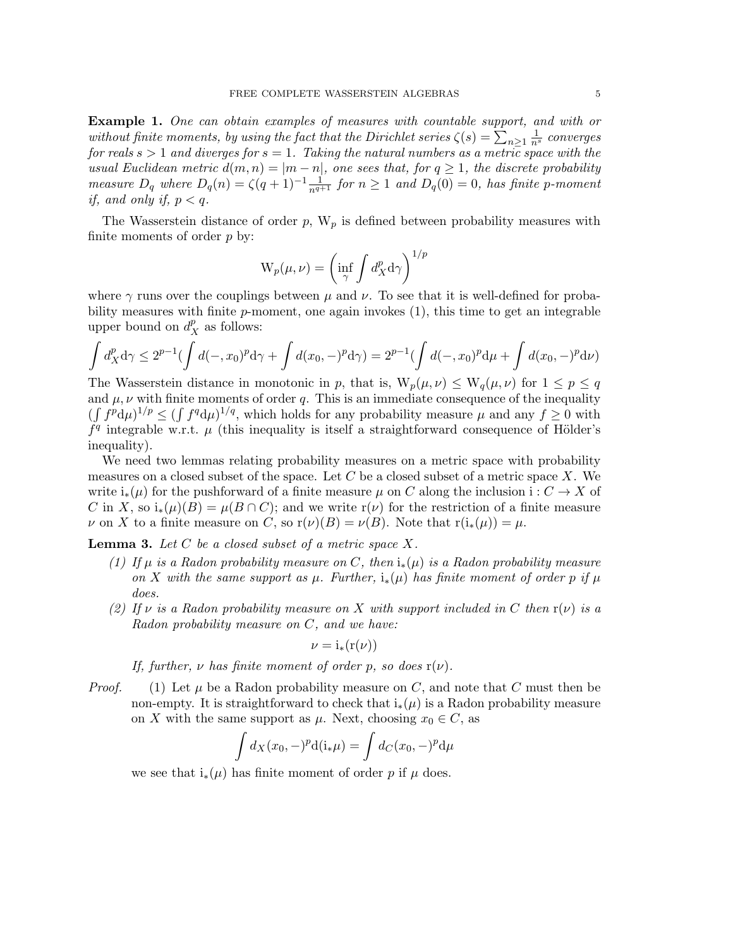<span id="page-5-2"></span>Example 1. One can obtain examples of measures with countable support, and with or without finite moments, by using the fact that the Dirichlet series  $\zeta(s) = \sum_{n\geq 1} \frac{1}{n^s}$  converges for reals  $s > 1$  and diverges for  $s = 1$ . Taking the natural numbers as a metric space with the usual Euclidean metric  $d(m, n) = |m - n|$ , one sees that, for  $q \ge 1$ , the discrete probability measure  $D_q$  where  $D_q(n) = \zeta(q+1)^{-1} \frac{1}{n^{q+1}}$  for  $n \ge 1$  and  $D_q(0) = 0$ , has finite p-moment if, and only if,  $p < q$ .

The Wasserstein distance of order  $p$ ,  $W_p$  is defined between probability measures with finite moments of order  $p$  by:

$$
W_p(\mu, \nu) = \left(\inf_{\gamma} \int d_X^p d\gamma\right)^{1/p}
$$

where  $\gamma$  runs over the couplings between  $\mu$  and  $\nu$ . To see that it is well-defined for probability measures with finite  $p$ -moment, one again invokes  $(1)$ , this time to get an integrable upper bound on  $d_X^p$  as follows:

$$
\int d_X^p \, d\gamma \le 2^{p-1} \bigl( \int d(-,x_0)^p \, d\gamma + \int d(x_0,-)^p \, d\gamma \bigr) = 2^{p-1} \bigl( \int d(-,x_0)^p \, d\mu + \int d(x_0,-)^p \, d\nu \bigr)
$$

The Wasserstein distance in monotonic in p, that is,  $W_p(\mu, \nu) \leq W_q(\mu, \nu)$  for  $1 \leq p \leq q$ and  $\mu, \nu$  with finite moments of order q. This is an immediate consequence of the inequality  $(\int f^p d\mu)^{1/p} \leq (\int f^q d\mu)^{1/q}$ , which holds for any probability measure  $\mu$  and any  $f \geq 0$  with  $f<sup>q</sup>$  integrable w.r.t.  $\mu$  (this inequality is itself a straightforward consequence of Hölder's inequality).

We need two lemmas relating probability measures on a metric space with probability measures on a closed subset of the space. Let C be a closed subset of a metric space X. We write  $i_*(\mu)$  for the pushforward of a finite measure  $\mu$  on C along the inclusion i:  $C \to X$  of C in X, so  $i_*(\mu)(B) = \mu(B \cap C)$ ; and we write  $r(\nu)$  for the restriction of a finite measure v on X to a finite measure on C, so  $r(\nu)(B) = \nu(B)$ . Note that  $r(i_*(\mu)) = \mu$ .

<span id="page-5-0"></span>**Lemma 3.** Let  $C$  be a closed subset of a metric space  $X$ .

- (1) If  $\mu$  is a Radon probability measure on C, then  $i_*(\mu)$  is a Radon probability measure on X with the same support as  $\mu$ . Further,  $i_*(\mu)$  has finite moment of order p if  $\mu$ does.
- <span id="page-5-1"></span>(2) If  $\nu$  is a Radon probability measure on X with support included in C then  $r(\nu)$  is a Radon probability measure on C, and we have:

$$
\nu = i_*(r(\nu))
$$

If, further,  $\nu$  has finite moment of order p, so does  $r(\nu)$ .

*Proof.* (1) Let  $\mu$  be a Radon probability measure on C, and note that C must then be non-empty. It is straightforward to check that  $i_*(\mu)$  is a Radon probability measure on X with the same support as  $\mu$ . Next, choosing  $x_0 \in C$ , as

$$
\int d_X(x_0, -)^p \mathrm{d}(\mathbf{i}_*\mu) = \int d_C(x_0, -)^p \mathrm{d}\mu
$$

we see that  $i_*(\mu)$  has finite moment of order p if  $\mu$  does.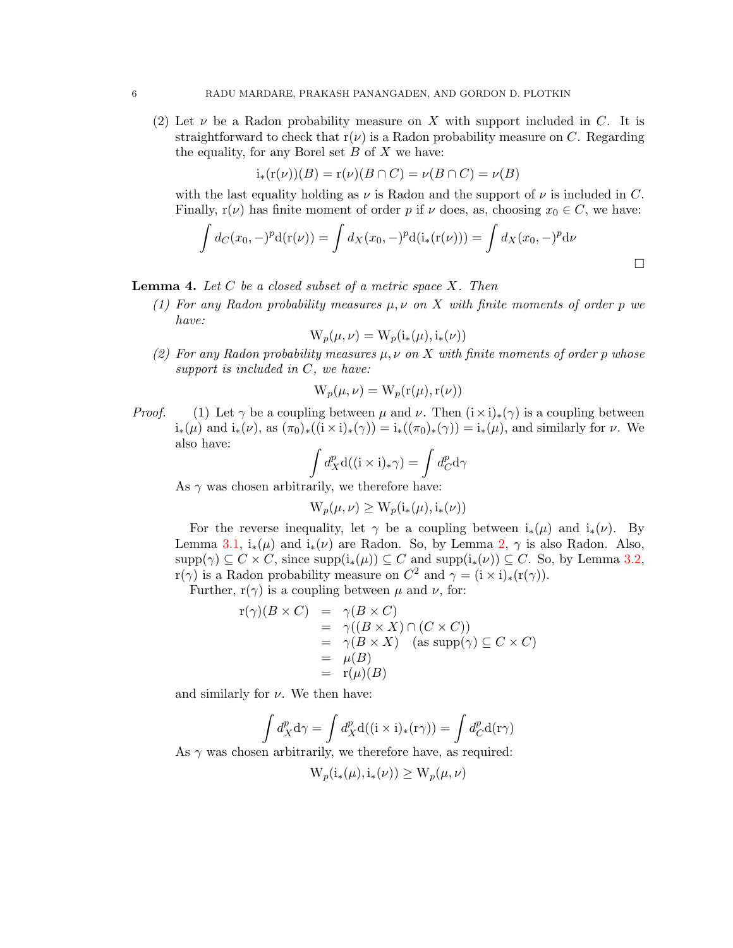(2) Let  $\nu$  be a Radon probability measure on X with support included in C. It is straightforward to check that  $r(\nu)$  is a Radon probability measure on C. Regarding the equality, for any Borel set  $B$  of  $X$  we have:

$$
i_*(r(\nu))(B) = r(\nu)(B \cap C) = \nu(B \cap C) = \nu(B)
$$

with the last equality holding as  $\nu$  is Radon and the support of  $\nu$  is included in C. Finally,  $r(\nu)$  has finite moment of order p if  $\nu$  does, as, choosing  $x_0 \in C$ , we have:

$$
\int d_C(x_0, -)^p d(\mathbf{r}(\nu)) = \int d_X(x_0, -)^p d(\mathbf{i}_*(\mathbf{r}(\nu))) = \int d_X(x_0, -)^p d\nu
$$

### <span id="page-6-1"></span>**Lemma 4.** Let C be a closed subset of a metric space  $X$ . Then

(1) For any Radon probability measures  $\mu, \nu$  on X with finite moments of order p we have:

$$
W_p(\mu,\nu) = W_p(i_*(\mu), i_*(\nu))
$$

<span id="page-6-0"></span>(2) For any Radon probability measures  $\mu, \nu$  on X with finite moments of order p whose support is included in  $C$ , we have:

$$
W_p(\mu, \nu) = W_p(r(\mu), r(\nu))
$$

*Proof.* (1) Let  $\gamma$  be a coupling between  $\mu$  and  $\nu$ . Then  $(i \times i)_*(\gamma)$  is a coupling between  $i_*(\mu)$  and  $i_*(\nu)$ , as  $(\pi_0)_*(i \times i)_*(\gamma) = i_*(\pi_0)_*(\gamma) = i_*(\mu)$ , and similarly for  $\nu$ . We also have:

$$
\int d_X^p \mathbf{d}((\mathbf{i} \times \mathbf{i})_* \gamma) = \int d_C^p \mathbf{d} \gamma
$$

As  $\gamma$  was chosen arbitrarily, we therefore have:

$$
W_p(\mu,\nu) \ge W_p(i_*(\mu), i_*(\nu))
$$

For the reverse inequality, let  $\gamma$  be a coupling between  $i_*(\mu)$  and  $i_*(\nu)$ . By Lemma [3.1,](#page-5-0)  $i_*(\mu)$  and  $i_*(\nu)$  are Radon. So, by Lemma [2,](#page-4-0)  $\gamma$  is also Radon. Also,  $\text{supp}(\gamma) \subseteq C \times C$ , since  $\text{supp}(i_*(\mu)) \subseteq C$  and  $\text{supp}(i_*(\nu)) \subseteq C$ . So, by Lemma [3.2,](#page-5-1)  $r(\gamma)$  is a Radon probability measure on  $C^2$  and  $\gamma = (i \times i)_*(r(\gamma))$ .

Further,  $r(\gamma)$  is a coupling between  $\mu$  and  $\nu$ , for:

$$
\begin{array}{rcl}\nr(\gamma)(B \times C) & = & \gamma(B \times C) \\
& = & \gamma((B \times X) \cap (C \times C)) \\
& = & \gamma(B \times X) \quad \text{(as supp}(\gamma) \subseteq C \times C) \\
& = & \mu(B) \\
& = & \text{r}(\mu)(B)\n\end{array}
$$

and similarly for  $\nu$ . We then have:

$$
\int d_X^p \mathbf{d}\gamma = \int d_X^p \mathbf{d}((\mathbf{i} \times \mathbf{i})_*(\mathbf{r}\gamma)) = \int d_C^p \mathbf{d}(\mathbf{r}\gamma)
$$

As  $\gamma$  was chosen arbitrarily, we therefore have, as required:

$$
W_p(i_*(\mu), i_*(\nu)) \ge W_p(\mu, \nu)
$$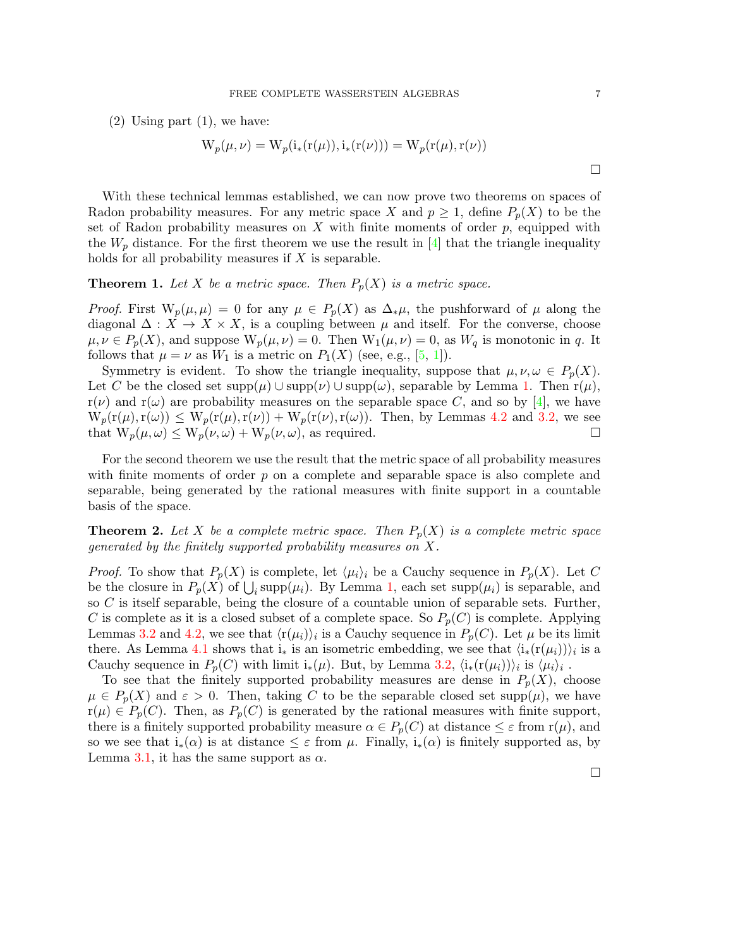(2) Using part (1), we have:

$$
W_p(\mu, \nu) = W_p(i_*(r(\mu)), i_*(r(\nu))) = W_p(r(\mu), r(\nu))
$$

With these technical lemmas established, we can now prove two theorems on spaces of Radon probability measures. For any metric space X and  $p \geq 1$ , define  $P_p(X)$  to be the set of Radon probability measures on  $X$  with finite moments of order  $p$ , equipped with the  $W_p$  distance. For the first theorem we use the result in [\[4\]](#page-18-7) that the triangle inequality holds for all probability measures if  $X$  is separable.

<span id="page-7-0"></span>**Theorem 1.** Let X be a metric space. Then  $P_p(X)$  is a metric space.

*Proof.* First  $W_p(\mu, \mu) = 0$  for any  $\mu \in P_p(X)$  as  $\Delta_*\mu$ , the pushforward of  $\mu$  along the diagonal  $\Delta: X \to X \times X$ , is a coupling between  $\mu$  and itself. For the converse, choose  $\mu, \nu \in P_p(X)$ , and suppose  $W_p(\mu, \nu) = 0$ . Then  $W_1(\mu, \nu) = 0$ , as  $W_q$  is monotonic in q. It follows that  $\mu = \nu$  as  $W_1$  is a metric on  $P_1(X)$  (see, e.g., [\[5,](#page-18-11) [1\]](#page-17-1)).

Symmetry is evident. To show the triangle inequality, suppose that  $\mu, \nu, \omega \in P_p(X)$ . Let C be the closed set  $\text{supp}(\mu) \cup \text{supp}(\nu) \cup \text{supp}(\omega)$ , separable by Lemma [1.](#page-3-1) Then  $r(\mu)$ ,  $r(\nu)$  and  $r(\omega)$  are probability measures on the separable space C, and so by [\[4\]](#page-18-7), we have  $W_p(r(\mu),r(\omega)) \leq W_p(r(\mu),r(\nu)) + W_p(r(\nu),r(\omega))$ . Then, by Lemmas [4.2](#page-6-0) and [3.2,](#page-5-1) we see that  $W_p(\mu, \omega) \le W_p(\nu, \omega) + W_p(\nu, \omega)$ , as required.

For the second theorem we use the result that the metric space of all probability measures with finite moments of order  $p$  on a complete and separable space is also complete and separable, being generated by the rational measures with finite support in a countable basis of the space.

<span id="page-7-1"></span>**Theorem 2.** Let X be a complete metric space. Then  $P_p(X)$  is a complete metric space generated by the finitely supported probability measures on X.

*Proof.* To show that  $P_p(X)$  is complete, let  $\langle \mu_i \rangle_i$  be a Cauchy sequence in  $P_p(X)$ . Let C be the closure in  $P_p(X)$  of  $\bigcup_i \text{supp}(\mu_i)$ . By Lemma [1,](#page-3-1) each set  $\text{supp}(\mu_i)$  is separable, and so C is itself separable, being the closure of a countable union of separable sets. Further, C is complete as it is a closed subset of a complete space. So  $P_p(C)$  is complete. Applying Lemmas [3.2](#page-5-1) and [4.2,](#page-6-0) we see that  $\langle r(\mu_i) \rangle_i$  is a Cauchy sequence in  $P_p(C)$ . Let  $\mu$  be its limit there. As Lemma [4.1](#page-6-1) shows that  $i_*$  is an isometric embedding, we see that  $\langle i_*(r(\mu_i))\rangle_i$  is a Cauchy sequence in  $P_p(C)$  with limit  $i_*(\mu)$ . But, by Lemma [3.2,](#page-5-1)  $\langle i_*(r(\mu_i))\rangle_i$  is  $\langle \mu_i\rangle_i$ .

To see that the finitely supported probability measures are dense in  $P_p(X)$ , choose  $\mu \in P_p(X)$  and  $\varepsilon > 0$ . Then, taking C to be the separable closed set supp $(\mu)$ , we have  $r(\mu) \in P_p(C)$ . Then, as  $P_p(C)$  is generated by the rational measures with finite support, there is a finitely supported probability measure  $\alpha \in P_p(C)$  at distance  $\leq \varepsilon$  from  $r(\mu)$ , and so we see that  $i_*(\alpha)$  is at distance  $\leq \varepsilon$  from  $\mu$ . Finally,  $i_*(\alpha)$  is finitely supported as, by Lemma [3.1,](#page-5-0) it has the same support as  $\alpha$ .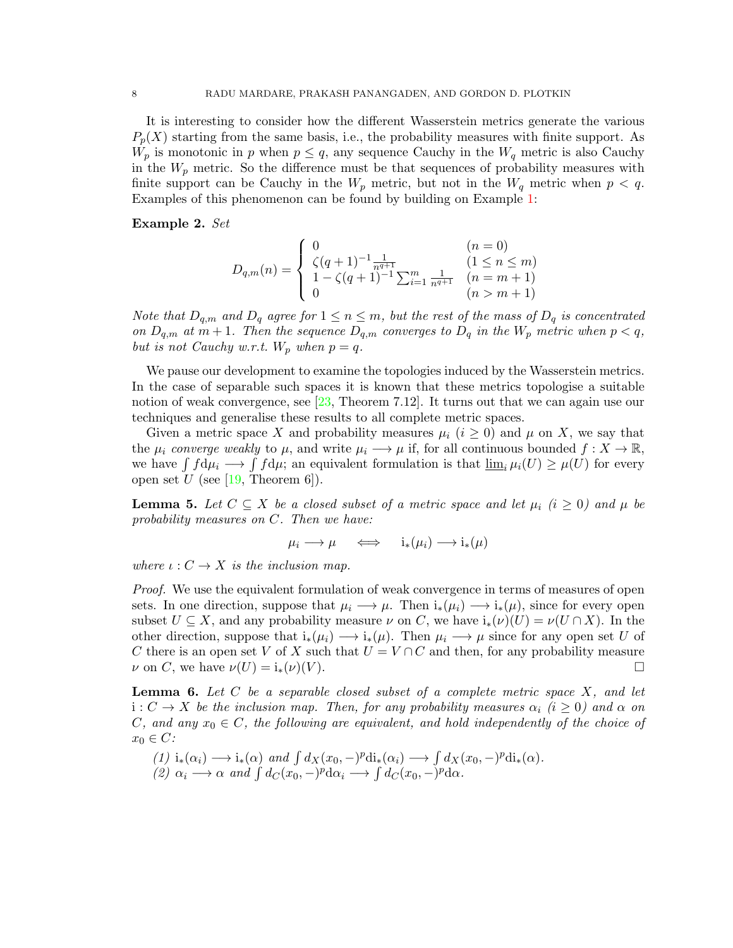It is interesting to consider how the different Wasserstein metrics generate the various  $P_p(X)$  starting from the same basis, i.e., the probability measures with finite support. As  $W_p$  is monotonic in p when  $p \leq q$ , any sequence Cauchy in the  $W_q$  metric is also Cauchy in the  $W_p$  metric. So the difference must be that sequences of probability measures with finite support can be Cauchy in the  $W_p$  metric, but not in the  $W_q$  metric when  $p < q$ . Examples of this phenomenon can be found by building on Example [1:](#page-5-2)

Example 2. Set

$$
D_{q,m}(n) = \begin{cases} 0 & (n = 0) \\ \zeta(q+1)^{-1} \frac{1}{n^{q+1}} & (1 \le n \le m) \\ 1 - \zeta(q+1)^{-1} \sum_{i=1}^{m} \frac{1}{n^{q+1}} & (n = m+1) \\ 0 & (n > m+1) \end{cases}
$$

Note that  $D_{q,m}$  and  $D_q$  agree for  $1 \leq n \leq m$ , but the rest of the mass of  $D_q$  is concentrated on  $D_{q,m}$  at  $m+1$ . Then the sequence  $D_{q,m}$  converges to  $D_q$  in the  $W_p$  metric when  $p < q$ , but is not Cauchy w.r.t.  $W_p$  when  $p = q$ .

We pause our development to examine the topologies induced by the Wasserstein metrics. In the case of separable such spaces it is known that these metrics topologise a suitable notion of weak convergence, see  $[23,$  Theorem 7.12. It turns out that we can again use our techniques and generalise these results to all complete metric spaces.

Given a metric space X and probability measures  $\mu_i$  ( $i \geq 0$ ) and  $\mu$  on X, we say that the  $\mu_i$  converge weakly to  $\mu$ , and write  $\mu_i \longrightarrow \mu$  if, for all continuous bounded  $f: X \to \mathbb{R}$ , we have  $\int f d\mu_i \longrightarrow \int f d\mu$ ; an equivalent formulation is that  $\underline{\lim}_i \mu_i(U) \geq \mu(U)$  for every open set  $U$  (see [\[19,](#page-18-10) Theorem 6]).

<span id="page-8-0"></span>**Lemma 5.** Let  $C \subseteq X$  be a closed subset of a metric space and let  $\mu_i$  ( $i \geq 0$ ) and  $\mu$  be probability measures on C. Then we have:

$$
\mu_i \longrightarrow \mu \quad \iff \quad i_*(\mu_i) \longrightarrow i_*(\mu)
$$

where  $\iota: C \to X$  is the inclusion map.

Proof. We use the equivalent formulation of weak convergence in terms of measures of open sets. In one direction, suppose that  $\mu_i \longrightarrow \mu$ . Then  $i_*(\mu_i) \longrightarrow i_*(\mu)$ , since for every open subset  $U \subseteq X$ , and any probability measure  $\nu$  on C, we have  $i_*(\nu)(U) = \nu(U \cap X)$ . In the other direction, suppose that  $i_*(\mu_i) \longrightarrow i_*(\mu)$ . Then  $\mu_i \longrightarrow \mu$  since for any open set U of C there is an open set V of X such that  $U = V \cap C$  and then, for any probability measure  $\nu$  on C, we have  $\nu(U) = i_*(\nu)(V)$ .

<span id="page-8-1"></span>**Lemma 6.** Let  $C$  be a separable closed subset of a complete metric space  $X$ , and let  $i: C \to X$  be the inclusion map. Then, for any probability measures  $\alpha_i$  (i  $\geq 0$ ) and  $\alpha$  on C, and any  $x_0 \in C$ , the following are equivalent, and hold independently of the choice of  $x_0 \in C$ :

(1) 
$$
i_*(\alpha_i) \longrightarrow i_*(\alpha)
$$
 and  $\int d_X(x_0, -)^p \text{di}_*(\alpha_i) \longrightarrow \int d_X(x_0, -)^p \text{di}_*(\alpha).$   
(2)  $\alpha_i \longrightarrow \alpha$  and  $\int d_C(x_0, -)^p \text{d}\alpha_i \longrightarrow \int d_C(x_0, -)^p \text{d}\alpha.$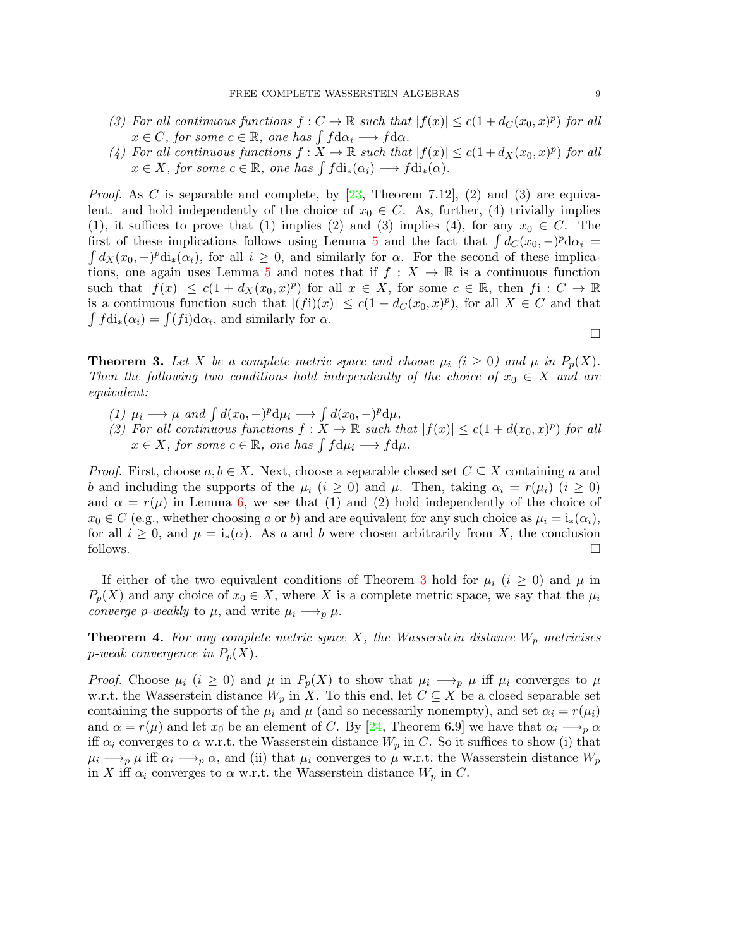- (3) For all continuous functions  $f: C \to \mathbb{R}$  such that  $|f(x)| \le c(1 + d_C(x_0, x)^p)$  for all  $x \in C$ , for some  $c \in \mathbb{R}$ , one has  $\int f d\alpha_i \longrightarrow f d\alpha$ .
- (4) For all continuous functions  $f: X \to \mathbb{R}$  such that  $|f(x)| \le c(1 + d_X(x_0, x)^p)$  for all  $x \in X$ , for some  $c \in \mathbb{R}$ , one has  $\int f \text{di}_*(\alpha_i) \longrightarrow f \text{di}_*(\alpha)$ .

*Proof.* As C is separable and complete, by [\[23,](#page-18-12) Theorem 7.12], (2) and (3) are equivalent. and hold independently of the choice of  $x_0 \in C$ . As, further, (4) trivially implies (1), it suffices to prove that (1) implies (2) and (3) implies (4), for any  $x_0 \in C$ . The first of these implications follows using Lemma [5](#page-8-0) and the fact that  $\int dC(x_0, -)^p d\alpha_i =$  $\int dX(x_0, -)^p \text{di}_*(\alpha_i)$ , for all  $i \geq 0$ , and similarly for  $\alpha$ . For the second of these implica-tions, one again uses Lemma [5](#page-8-0) and notes that if  $f: X \to \mathbb{R}$  is a continuous function such that  $|f(x)| \le c(1 + d_X(x_0, x)^p)$  for all  $x \in X$ , for some  $c \in \mathbb{R}$ , then  $f: C \to \mathbb{R}$ is a continuous function such that  $|(f_i)(x)| \le c(1 + d_C(x_0, x)^p)$ , for all  $X \in C$  and that  $\int f \, \mathrm{d}\mathbf{i}_*(\alpha_i) = \int (f\mathbf{i}) \, \mathrm{d}\alpha_i$ , and similarly for  $\alpha$ .

<span id="page-9-1"></span>**Theorem 3.** Let X be a complete metric space and choose  $\mu_i$  (i  $\geq 0$ ) and  $\mu$  in  $P_p(X)$ . Then the following two conditions hold independently of the choice of  $x_0 \in X$  and are equivalent:

- (1)  $\mu_i \longrightarrow \mu$  and  $\int d(x_0, -)^p d\mu_i \longrightarrow \int d(x_0, -)^p d\mu$ ,
- (2) For all continuous functions  $f: X \to \mathbb{R}$  such that  $|f(x)| \le c(1 + d(x_0, x)^p)$  for all  $x \in X$ , for some  $c \in \mathbb{R}$ , one has  $\int f d\mu_i \longrightarrow f d\mu$ .

*Proof.* First, choose  $a, b \in X$ . Next, choose a separable closed set  $C \subseteq X$  containing a and b and including the supports of the  $\mu_i$   $(i \geq 0)$  and  $\mu$ . Then, taking  $\alpha_i = r(\mu_i)$   $(i \geq 0)$ and  $\alpha = r(\mu)$  in Lemma [6,](#page-8-1) we see that (1) and (2) hold independently of the choice of  $x_0 \in C$  (e.g., whether choosing a or b) and are equivalent for any such choice as  $\mu_i = i_*(\alpha_i)$ , for all  $i \geq 0$ , and  $\mu = i_*(\alpha)$ . As a and b were chosen arbitrarily from X, the conclusion follows.  $\Box$ 

If either of the two equivalent conditions of Theorem [3](#page-9-1) hold for  $\mu_i$  (i  $\geq 0$ ) and  $\mu$  in  $P_p(X)$  and any choice of  $x_0 \in X$ , where X is a complete metric space, we say that the  $\mu_i$ converge p-weakly to  $\mu$ , and write  $\mu_i \longrightarrow_p \mu$ .

<span id="page-9-0"></span>**Theorem 4.** For any complete metric space X, the Wasserstein distance  $W_p$  metricises p-weak convergence in  $P_p(X)$ .

*Proof.* Choose  $\mu_i$  ( $i \geq 0$ ) and  $\mu$  in  $P_p(X)$  to show that  $\mu_i \longrightarrow_p \mu$  iff  $\mu_i$  converges to  $\mu$ w.r.t. the Wasserstein distance  $W_p$  in X. To this end, let  $C \subseteq X$  be a closed separable set containing the supports of the  $\mu_i$  and  $\mu$  (and so necessarily nonempty), and set  $\alpha_i = r(\mu_i)$ and  $\alpha = r(\mu)$  and let  $x_0$  be an element of C. By [\[24,](#page-18-8) Theorem 6.9] we have that  $\alpha_i \longrightarrow_p \alpha$ iff  $\alpha_i$  converges to  $\alpha$  w.r.t. the Wasserstein distance  $W_p$  in C. So it suffices to show (i) that  $\mu_i \longrightarrow_p \mu$  iff  $\alpha_i \longrightarrow_p \alpha$ , and (ii) that  $\mu_i$  converges to  $\mu$  w.r.t. the Wasserstein distance  $W_p$ in X iff  $\alpha_i$  converges to  $\alpha$  w.r.t. the Wasserstein distance  $W_p$  in C.

 $\Box$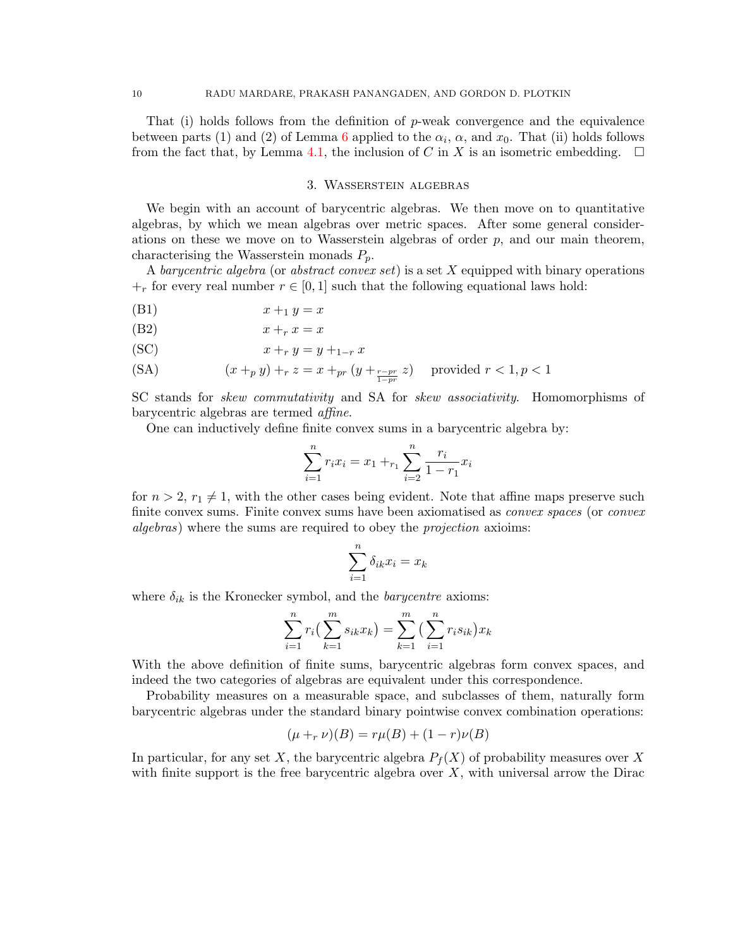That (i) holds follows from the definition of  $p$ -weak convergence and the equivalence between parts (1) and (2) of Lemma [6](#page-8-1) applied to the  $\alpha_i$ ,  $\alpha$ , and  $x_0$ . That (ii) holds follows from the fact that, by Lemma [4.1,](#page-6-1) the inclusion of C in X is an isometric embedding.  $\square$ 

#### 3. Wasserstein algebras

<span id="page-10-0"></span>We begin with an account of barycentric algebras. We then move on to quantitative algebras, by which we mean algebras over metric spaces. After some general considerations on these we move on to Wasserstein algebras of order  $p$ , and our main theorem, characterising the Wasserstein monads  $P_p$ .

A barycentric algebra (or abstract convex set) is a set X equipped with binary operations  $+r$  for every real number  $r \in [0,1]$  such that the following equational laws hold:

$$
(B1) \t\t x +_1 y = x
$$

(B2)  $x +_r x = x$ 

(SC) 
$$
x +_r y = y +_{1-r} x
$$

$$
\text{(SA)} \qquad \qquad (x +_p y) +_r z = x +_{pr} (y +_{\frac{r-pr}{1-pr}} z) \quad \text{provided } r < 1, p < 1
$$

SC stands for skew commutativity and SA for skew associativity. Homomorphisms of barycentric algebras are termed affine.

One can inductively define finite convex sums in a barycentric algebra by:

$$
\sum_{i=1}^{n} r_i x_i = x_1 + r_1 \sum_{i=2}^{n} \frac{r_i}{1 - r_1} x_i
$$

for  $n > 2$ ,  $r_1 \neq 1$ , with the other cases being evident. Note that affine maps preserve such finite convex sums. Finite convex sums have been axiomatised as *convex spaces* (or *convex* algebras) where the sums are required to obey the projection axioims:

$$
\sum_{i=1}^{n} \delta_{ik} x_i = x_k
$$

where  $\delta_{ik}$  is the Kronecker symbol, and the *barycentre* axioms:

$$
\sum_{i=1}^{n} r_i \left( \sum_{k=1}^{m} s_{ik} x_k \right) = \sum_{k=1}^{m} \left( \sum_{i=1}^{n} r_i s_{ik} \right) x_k
$$

With the above definition of finite sums, barycentric algebras form convex spaces, and indeed the two categories of algebras are equivalent under this correspondence.

Probability measures on a measurable space, and subclasses of them, naturally form barycentric algebras under the standard binary pointwise convex combination operations:

$$
(\mu +_r \nu)(B) = r\mu(B) + (1 - r)\nu(B)
$$

In particular, for any set X, the barycentric algebra  $P_f(X)$  of probability measures over X with finite support is the free barycentric algebra over  $X$ , with universal arrow the Dirac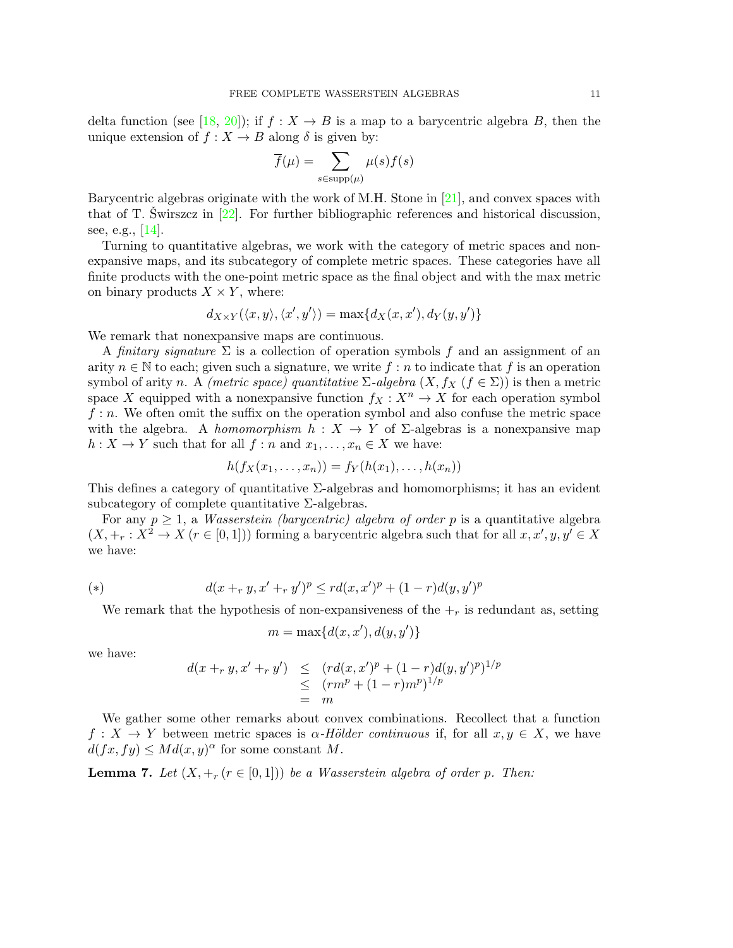delta function (see [\[18,](#page-18-13) [20\]](#page-18-14)); if  $f: X \to B$  is a map to a barycentric algebra B, then the unique extension of  $f : X \to B$  along  $\delta$  is given by:

$$
\overline{f}(\mu) = \sum_{s \in \text{supp}(\mu)} \mu(s) f(s)
$$

Barycentric algebras originate with the work of M.H. Stone in [\[21\]](#page-18-15), and convex spaces with that of T. Swirszcz in  $[22]$  $[22]$ . For further bibliographic references and historical discussion, see, e.g., [\[14\]](#page-18-17).

Turning to quantitative algebras, we work with the category of metric spaces and nonexpansive maps, and its subcategory of complete metric spaces. These categories have all finite products with the one-point metric space as the final object and with the max metric on binary products  $X \times Y$ , where:

$$
d_{X\times Y}(\langle x,y \rangle,\langle x',y' \rangle) = \max\{d_X(x,x'),d_Y(y,y')\}
$$

We remark that nonexpansive maps are continuous.

A finitary signature  $\Sigma$  is a collection of operation symbols f and an assignment of an arity  $n \in \mathbb{N}$  to each; given such a signature, we write f: n to indicate that f is an operation symbol of arity n. A (metric space) quantitative  $\Sigma$ -algebra  $(X, f_X$  ( $f \in \Sigma$ )) is then a metric space X equipped with a nonexpansive function  $f_X : X^n \to X$  for each operation symbol  $f: n$ . We often omit the suffix on the operation symbol and also confuse the metric space with the algebra. A homomorphism  $h: X \to Y$  of  $\Sigma$ -algebras is a nonexpansive map  $h: X \to Y$  such that for all  $f: n$  and  $x_1, \ldots, x_n \in X$  we have:

$$
h(f_X(x_1,\ldots,x_n))=f_Y(h(x_1),\ldots,h(x_n))
$$

This defines a category of quantitative  $\Sigma$ -algebras and homomorphisms; it has an evident subcategory of complete quantitative  $\Sigma$ -algebras.

For any  $p \geq 1$ , a *Wasserstein (barycentric) algebra of order p* is a quantitative algebra  $(X, +_r : X^2 \to X \ (r \in [0,1]))$  forming a barycentric algebra such that for all  $x, x', y, y' \in X$ we have:

<span id="page-11-0"></span>(\*) 
$$
d(x +_r y, x' +_r y')^p \leq r d(x, x')^p + (1 - r) d(y, y')^p
$$

We remark that the hypothesis of non-expansiveness of the  $+_r$  is redundant as, setting

$$
m = \max\{d(x, x'), d(y, y')\}
$$

we have:

$$
d(x +_r y, x' +_r y') \leq (r d(x, x')^p + (1 - r) d(y, y')^p)^{1/p}
$$
  
\n
$$
\leq (r m^p + (1 - r) m^p)^{1/p}
$$
  
\n
$$
= m
$$

We gather some other remarks about convex combinations. Recollect that a function  $f: X \to Y$  between metric spaces is  $\alpha$ -Hölder continuous if, for all  $x, y \in X$ , we have  $d(fx, fy) \leq Md(x, y)^{\alpha}$  for some constant M.

**Lemma 7.** Let  $(X, +_r (r \in [0,1]))$  be a Wasserstein algebra of order p. Then: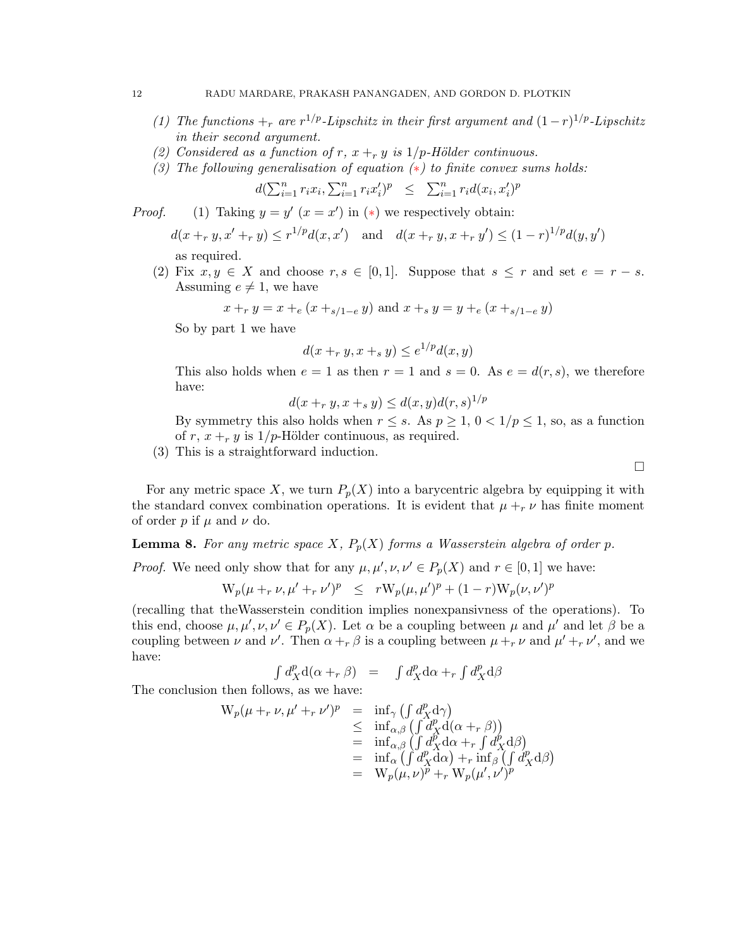- (1) The functions  $\pm_r$  are  $r^{1/p}$ -Lipschitz in their first argument and  $(1-r)^{1/p}$ -Lipschitz in their second argument.
- (2) Considered as a function of r,  $x +_r y$  is  $1/p$ -Hölder continuous.
- <span id="page-12-0"></span>(3) The following generalisation of equation  $(*)$  to finite convex sums holds:

$$
d(\sum_{i=1}^{n} r_i x_i, \sum_{i=1}^{n} r_i x_i')^p \leq \sum_{i=1}^{n} r_i d(x_i, x_i')^p
$$

*Proof.* (1) Taking  $y = y'$  ( $x = x'$ ) in (\*) we respectively obtain:

$$
d(x +_r y, x' +_r y) \le r^{1/p} d(x, x') \quad \text{and} \quad d(x +_r y, x +_r y') \le (1 - r)^{1/p} d(y, y')
$$

as required.

(2) Fix  $x, y \in X$  and choose  $r, s \in [0, 1]$ . Suppose that  $s \leq r$  and set  $e = r - s$ . Assuming  $e \neq 1$ , we have

$$
x +_{r} y = x +_{e} (x +_{s/1-e} y)
$$
 and  $x +_{s} y = y +_{e} (x +_{s/1-e} y)$ 

So by part 1 we have

$$
d(x +_r y, x +_s y) \le e^{1/p} d(x, y)
$$

This also holds when  $e = 1$  as then  $r = 1$  and  $s = 0$ . As  $e = d(r, s)$ , we therefore have:

$$
d(x +_r y, x +_s y) \le d(x, y)d(r, s)^{1/p}
$$

By symmetry this also holds when  $r \leq s$ . As  $p \geq 1$ ,  $0 < 1/p \leq 1$ , so, as a function of r,  $x +_r y$  is  $1/p$ -Hölder continuous, as required.

(3) This is a straightforward induction.

For any metric space X, we turn  $P_p(X)$  into a barycentric algebra by equipping it with the standard convex combination operations. It is evident that  $\mu +_{r} \nu$  has finite moment of order p if  $\mu$  and  $\nu$  do.

<span id="page-12-1"></span>**Lemma 8.** For any metric space X,  $P_p(X)$  forms a Wasserstein algebra of order p.

*Proof.* We need only show that for any  $\mu, \mu', \nu, \nu' \in P_p(X)$  and  $r \in [0, 1]$  we have:

$$
W_p(\mu +_r \nu, \mu' +_r \nu')^p \leq rW_p(\mu, \mu')^p + (1-r)W_p(\nu, \nu')^p
$$

(recalling that theWasserstein condition implies nonexpansivness of the operations). To this end, choose  $\mu, \mu', \nu, \nu' \in P_p(X)$ . Let  $\alpha$  be a coupling between  $\mu$  and  $\mu'$  and let  $\beta$  be a coupling between  $\nu$  and  $\nu'$ . Then  $\alpha +_{r} \beta$  is a coupling between  $\mu +_{r} \nu$  and  $\mu' +_{r} \nu'$ , and we have:

$$
\int d_X^p \mathbf{d}(\alpha +_r \beta) = \int d_X^p \mathbf{d}\alpha +_r \int d_X^p \mathbf{d}\beta
$$

The conclusion then follows, as we have:

$$
W_p(\mu +_r \nu, \mu' +_r \nu')^p = \inf_{\gamma} \left( \int d_X^p d\gamma \right)
$$
  
\n
$$
\leq \inf_{\alpha, \beta} \left( \int d_X^p d(\alpha +_r \beta) \right)
$$
  
\n
$$
= \inf_{\alpha, \beta} \left( \int d_X^p d\alpha +_r \int d_X^p d\beta \right)
$$
  
\n
$$
= \inf_{\alpha} \left( \int d_X^p d\alpha \right) +_r \inf_{\beta} \left( \int d_X^p d\beta \right)
$$
  
\n
$$
= W_p(\mu, \nu)^p +_r W_p(\mu', \nu')^p
$$

 $\Box$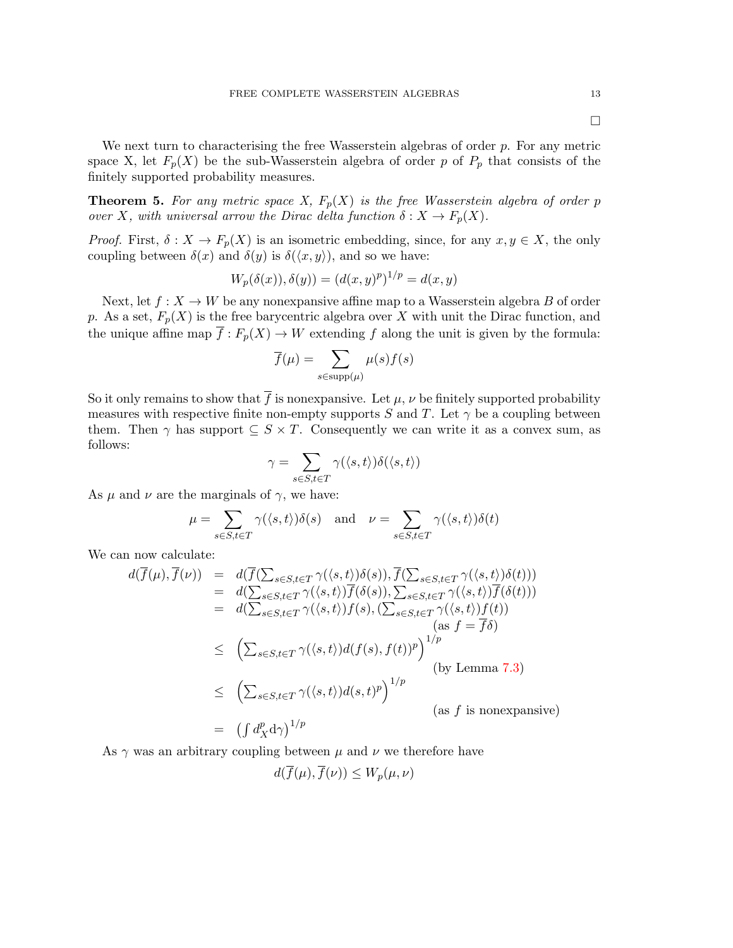$\Box$ 

We next turn to characterising the free Wasserstein algebras of order  $p$ . For any metric space X, let  $F_p(X)$  be the sub-Wasserstein algebra of order p of  $P_p$  that consists of the finitely supported probability measures.

<span id="page-13-0"></span>**Theorem 5.** For any metric space X,  $F_p(X)$  is the free Wasserstein algebra of order p over X, with universal arrow the Dirac delta function  $\delta: X \to F_p(X)$ .

*Proof.* First,  $\delta: X \to F_p(X)$  is an isometric embedding, since, for any  $x, y \in X$ , the only coupling between  $\delta(x)$  and  $\delta(y)$  is  $\delta(\langle x, y \rangle)$ , and so we have:

$$
W_p(\delta(x)), \delta(y)) = (d(x, y)^p)^{1/p} = d(x, y)
$$

Next, let  $f: X \to W$  be any nonexpansive affine map to a Wasserstein algebra B of order p. As a set,  $F_p(X)$  is the free barycentric algebra over X with unit the Dirac function, and the unique affine map  $\overline{f}: F_p(X) \to W$  extending f along the unit is given by the formula:

$$
\overline{f}(\mu) = \sum_{s \in \text{supp}(\mu)} \mu(s) f(s)
$$

So it only remains to show that  $\overline{f}$  is nonexpansive. Let  $\mu$ ,  $\nu$  be finitely supported probability measures with respective finite non-empty supports S and T. Let  $\gamma$  be a coupling between them. Then  $\gamma$  has support  $\subseteq S \times T$ . Consequently we can write it as a convex sum, as follows:

$$
\gamma = \sum_{s \in S, t \in T} \gamma(\langle s, t \rangle) \delta(\langle s, t \rangle)
$$

As  $\mu$  and  $\nu$  are the marginals of  $\gamma$ , we have:

$$
\mu = \sum_{s \in S, t \in T} \gamma(\langle s, t \rangle) \delta(s) \quad \text{and} \quad \nu = \sum_{s \in S, t \in T} \gamma(\langle s, t \rangle) \delta(t)
$$

We can now calculate:

$$
d(f(\mu), f(\nu)) = d(f(\sum_{s \in S, t \in T} \gamma(\langle s, t \rangle)\delta(s)), f(\sum_{s \in S, t \in T} \gamma(\langle s, t \rangle)\delta(t)))
$$
  
\n
$$
= d(\sum_{s \in S, t \in T} \gamma(\langle s, t \rangle)\overline{f}(\delta(s)), \sum_{s \in S, t \in T} \gamma(\langle s, t \rangle)\overline{f}(\delta(t)))
$$
  
\n
$$
= d(\sum_{s \in S, t \in T} \gamma(\langle s, t \rangle)f(s), (\sum_{s \in S, t \in T} \gamma(\langle s, t \rangle)f(t))
$$
  
\n
$$
\leq (\sum_{s \in S, t \in T} \gamma(\langle s, t \rangle)d(f(s), f(t))^p)^{1/p}
$$
  
\n
$$
\leq (\sum_{s \in S, t \in T} \gamma(\langle s, t \rangle)d(s, t)^p)^{1/p}
$$
  
\n
$$
= (\int d_X^p d_Y)^{1/p}
$$
  
\n
$$
(as f is nonexpansive)
$$

As  $\gamma$  was an arbitrary coupling between  $\mu$  and  $\nu$  we therefore have

$$
d(\overline{f}(\mu), \overline{f}(\nu)) \le W_p(\mu, \nu)
$$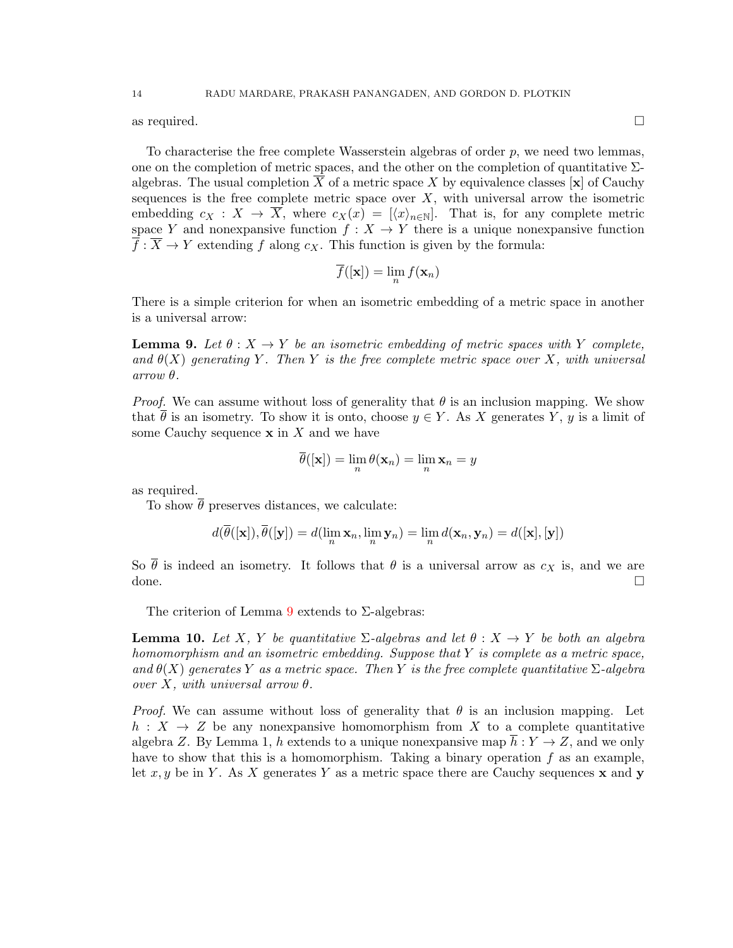as required.  $\square$ 

To characterise the free complete Wasserstein algebras of order  $p$ , we need two lemmas, one on the completion of metric spaces, and the other on the completion of quantitative  $\Sigma$ algebras. The usual completion  $\overline{X}$  of a metric space X by equivalence classes [x] of Cauchy sequences is the free complete metric space over  $X$ , with universal arrow the isometric embedding  $c_X : X \to \overline{X}$ , where  $c_X(x) = |\langle x \rangle_{n \in \mathbb{N}}|$ . That is, for any complete metric space Y and nonexpansive function  $f: X \to Y$  there is a unique nonexpansive function  $\overline{f}$ :  $\overline{X} \to Y$  extending f along  $c_X$ . This function is given by the formula:

$$
\overline{f}([\mathbf{x}]) = \lim_n f(\mathbf{x}_n)
$$

There is a simple criterion for when an isometric embedding of a metric space in another is a universal arrow:

<span id="page-14-0"></span>**Lemma 9.** Let  $\theta: X \to Y$  be an isometric embedding of metric spaces with Y complete, and  $\theta(X)$  generating Y. Then Y is the free complete metric space over X, with universal  $arrow \theta$ .

*Proof.* We can assume without loss of generality that  $\theta$  is an inclusion mapping. We show that  $\overline{\theta}$  is an isometry. To show it is onto, choose  $y \in Y$ . As X generates Y, y is a limit of some Cauchy sequence  $x$  in  $X$  and we have

$$
\overline{\theta}([\mathbf{x}]) = \lim_{n} \theta(\mathbf{x}_n) = \lim_{n} \mathbf{x}_n = y
$$

as required.

To show  $\bar{\theta}$  preserves distances, we calculate:

$$
d(\overline{\theta}([\mathbf{x}]), \overline{\theta}([\mathbf{y}]) = d(\lim_{n} \mathbf{x}_n, \lim_{n} \mathbf{y}_n) = \lim_{n} d(\mathbf{x}_n, \mathbf{y}_n) = d([\mathbf{x}], [\mathbf{y}])
$$

So  $\bar{\theta}$  is indeed an isometry. It follows that  $\theta$  is a universal arrow as  $c_X$  is, and we are done.

The criterion of Lemma [9](#page-14-0) extends to  $\Sigma$ -algebras:

<span id="page-14-1"></span>**Lemma 10.** Let X, Y be quantitative  $\Sigma$ -algebras and let  $\theta : X \to Y$  be both an algebra homomorphism and an isometric embedding. Suppose that  $Y$  is complete as a metric space, and  $\theta(X)$  generates Y as a metric space. Then Y is the free complete quantitative  $\Sigma$ -algebra over X, with universal arrow  $\theta$ .

*Proof.* We can assume without loss of generality that  $\theta$  is an inclusion mapping. Let  $h: X \to Z$  be any nonexpansive homomorphism from X to a complete quantitative algebra Z. By Lemma 1, h extends to a unique nonexpansive map  $\overline{h}: Y \to Z$ , and we only have to show that this is a homomorphism. Taking a binary operation  $f$  as an example, let x, y be in Y. As X generates Y as a metric space there are Cauchy sequences x and y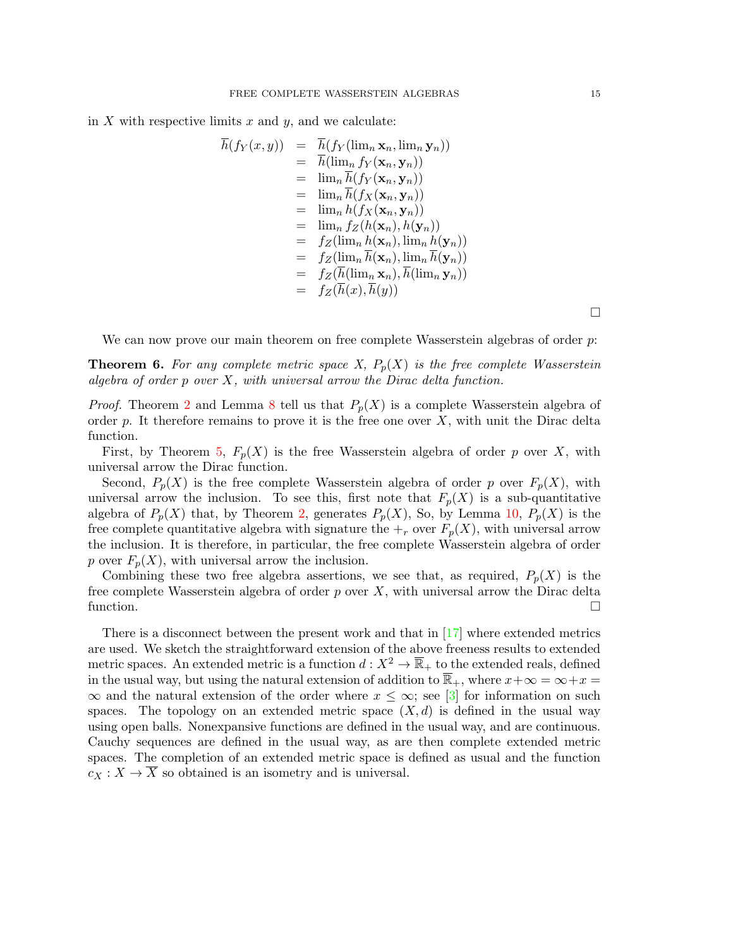in  $X$  with respective limits  $x$  and  $y$ , and we calculate:

$$
h(f_Y(x,y)) = h(f_Y(\lim_n \mathbf{x}_n, \lim_n \mathbf{y}_n))
$$
  
\n
$$
= \overline{h}(\lim_n f_Y(\mathbf{x}_n, \mathbf{y}_n))
$$
  
\n
$$
= \lim_n \overline{h}(f_Y(\mathbf{x}_n, \mathbf{y}_n))
$$
  
\n
$$
= \lim_n \overline{h}(f_X(\mathbf{x}_n, \mathbf{y}_n))
$$
  
\n
$$
= \lim_n h(f_X(\mathbf{x}_n, \mathbf{y}_n))
$$
  
\n
$$
= \lim_n f_Z(h(\mathbf{x}_n), h(\mathbf{y}_n))
$$
  
\n
$$
= f_Z(\lim_n h(\mathbf{x}_n), \lim_n h(\mathbf{y}_n))
$$
  
\n
$$
= f_Z(\overline{\lim_n \overline{h}(\mathbf{x}_n), \lim_n \overline{h}(\mathbf{y}_n))}
$$
  
\n
$$
= f_Z(\overline{h}(\lim_n \mathbf{x}_n), \overline{h}(\lim_n \mathbf{y}_n))
$$
  
\n
$$
= f_Z(\overline{h}(x), \overline{h}(y))
$$

We can now prove our main theorem on free complete Wasserstein algebras of order p.

<span id="page-15-0"></span>**Theorem 6.** For any complete metric space X,  $P_p(X)$  is the free complete Wasserstein algebra of order  $p$  over  $X$ , with universal arrow the Dirac delta function.

*Proof.* Theorem [2](#page-7-1) and Lemma [8](#page-12-1) tell us that  $P_p(X)$  is a complete Wasserstein algebra of order p. It therefore remains to prove it is the free one over  $X$ , with unit the Dirac delta function.

First, by Theorem [5,](#page-13-0)  $F_p(X)$  is the free Wasserstein algebra of order p over X, with universal arrow the Dirac function.

Second,  $P_p(X)$  is the free complete Wasserstein algebra of order p over  $F_p(X)$ , with universal arrow the inclusion. To see this, first note that  $F_p(X)$  is a sub-quantitative algebra of  $P_p(X)$  that, by Theorem [2,](#page-7-1) generates  $P_p(X)$ , So, by Lemma [10,](#page-14-1)  $P_p(X)$  is the free complete quantitative algebra with signature the  $+_r$  over  $F_p(X)$ , with universal arrow the inclusion. It is therefore, in particular, the free complete Wasserstein algebra of order p over  $F_p(X)$ , with universal arrow the inclusion.

Combining these two free algebra assertions, we see that, as required,  $P_p(X)$  is the free complete Wasserstein algebra of order  $p$  over  $X$ , with universal arrow the Dirac delta function.  $\Box$ 

There is a disconnect between the present work and that in [\[17\]](#page-18-6) where extended metrics are used. We sketch the straightforward extension of the above freeness results to extended metric spaces. An extended metric is a function  $d: X^2 \to \overline{\mathbb{R}}_+$  to the extended reals, defined in the usual way, but using the natural extension of addition to  $\overline{\mathbb{R}}_+$ , where  $x+\infty = \infty+x$  $\infty$  and the natural extension of the order where  $x \leq \infty$ ; see [\[3\]](#page-18-18) for information on such spaces. The topology on an extended metric space  $(X, d)$  is defined in the usual way using open balls. Nonexpansive functions are defined in the usual way, and are continuous. Cauchy sequences are defined in the usual way, as are then complete extended metric spaces. The completion of an extended metric space is defined as usual and the function  $c_X: X \to \overline{X}$  so obtained is an isometry and is universal.

 $\Box$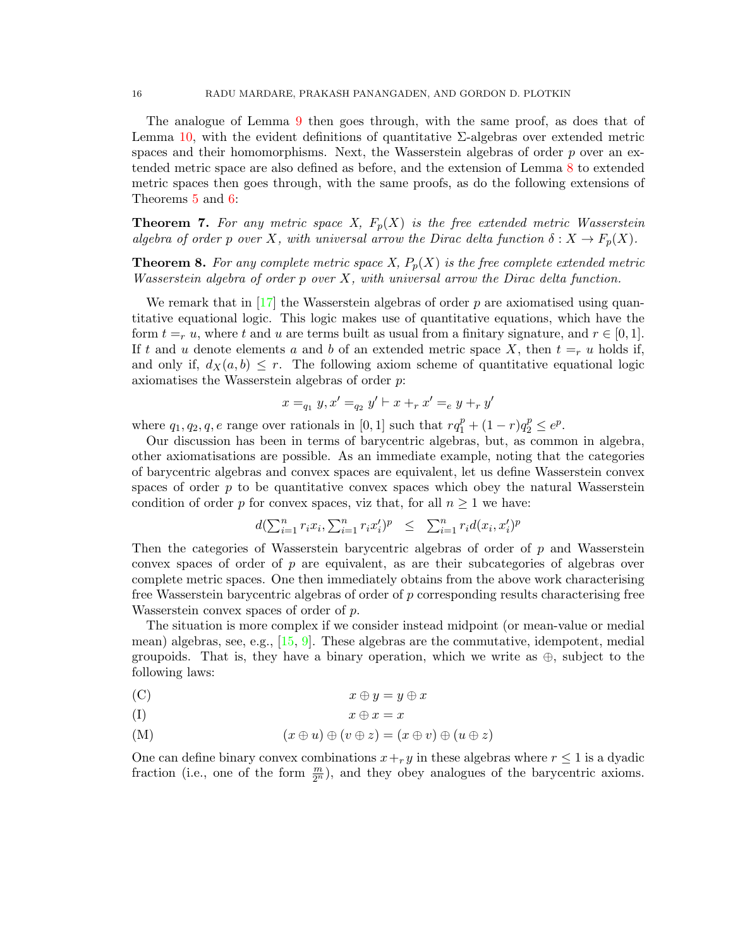The analogue of Lemma [9](#page-14-0) then goes through, with the same proof, as does that of Lemma [10,](#page-14-1) with the evident definitions of quantitative  $\Sigma$ -algebras over extended metric spaces and their homomorphisms. Next, the Wasserstein algebras of order  $p$  over an extended metric space are also defined as before, and the extension of Lemma [8](#page-12-1) to extended metric spaces then goes through, with the same proofs, as do the following extensions of Theorems [5](#page-13-0) and [6:](#page-15-0)

**Theorem 7.** For any metric space X,  $F_p(X)$  is the free extended metric Wasserstein algebra of order p over X, with universal arrow the Dirac delta function  $\delta: X \to F_p(X)$ .

**Theorem 8.** For any complete metric space X,  $P_p(X)$  is the free complete extended metric Wasserstein algebra of order  $p$  over  $X$ , with universal arrow the Dirac delta function.

We remark that in  $\left[17\right]$  the Wasserstein algebras of order p are axiomatised using quantitative equational logic. This logic makes use of quantitative equations, which have the form  $t = r u$ , where t and u are terms built as usual from a finitary signature, and  $r \in [0, 1]$ . If t and u denote elements a and b of an extended metric space X, then  $t = r u$  holds if, and only if,  $d_X(a, b) \leq r$ . The following axiom scheme of quantitative equational logic axiomatises the Wasserstein algebras of order p:

$$
x =_{q_1} y, x' =_{q_2} y' \vdash x +_r x' =_e y +_r y'
$$

where  $q_1, q_2, q, e$  range over rationals in [0, 1] such that  $rq_1^p + (1 - r)q_2^p \le e^p$ .

Our discussion has been in terms of barycentric algebras, but, as common in algebra, other axiomatisations are possible. As an immediate example, noting that the categories of barycentric algebras and convex spaces are equivalent, let us define Wasserstein convex spaces of order  $p$  to be quantitative convex spaces which obey the natural Wasserstein condition of order p for convex spaces, viz that, for all  $n \geq 1$  we have:

$$
d(\sum_{i=1}^{n} r_i x_i, \sum_{i=1}^{n} r_i x_i')^p \leq \sum_{i=1}^{n} r_i d(x_i, x_i')^p
$$

Then the categories of Wasserstein barycentric algebras of order of p and Wasserstein convex spaces of order of p are equivalent, as are their subcategories of algebras over complete metric spaces. One then immediately obtains from the above work characterising free Wasserstein barycentric algebras of order of  $p$  corresponding results characterising free Wasserstein convex spaces of order of p.

The situation is more complex if we consider instead midpoint (or mean-value or medial mean) algebras, see, e.g., [\[15,](#page-18-19) [9\]](#page-18-20). These algebras are the commutative, idempotent, medial groupoids. That is, they have a binary operation, which we write as  $\oplus$ , subject to the following laws:

(C) 
$$
x \oplus y = y \oplus x
$$

(I)  $x \oplus x = x$ 

(M) 
$$
(x \oplus u) \oplus (v \oplus z) = (x \oplus v) \oplus (u \oplus z)
$$

One can define binary convex combinations  $x +_r y$  in these algebras where  $r \leq 1$  is a dyadic fraction (i.e., one of the form  $\frac{m}{2^n}$ ), and they obey analogues of the barycentric axioms.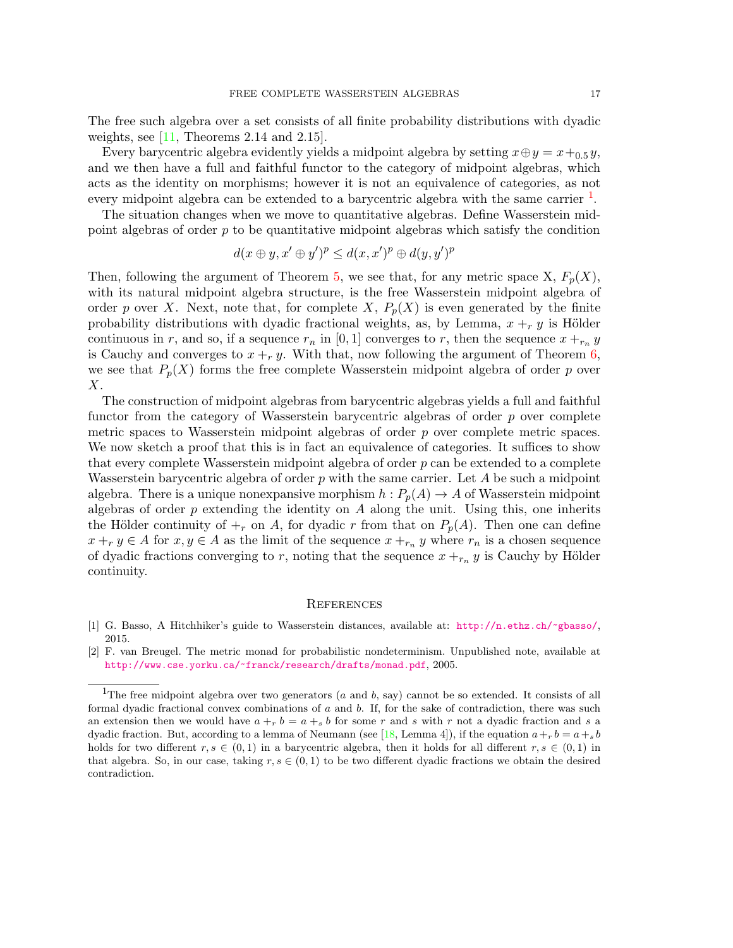The free such algebra over a set consists of all finite probability distributions with dyadic weights, see  $[11,$  Theorems 2.14 and 2.15].

Every barycentric algebra evidently yields a midpoint algebra by setting  $x \oplus y = x + 0.5 y$ , and we then have a full and faithful functor to the category of midpoint algebras, which acts as the identity on morphisms; however it is not an equivalence of categories, as not every midpoint algebra can be extended to a barycentric algebra with the same carrier  $<sup>1</sup>$  $<sup>1</sup>$  $<sup>1</sup>$ .</sup>

The situation changes when we move to quantitative algebras. Define Wasserstein midpoint algebras of order  $p$  to be quantitative midpoint algebras which satisfy the condition

$$
d(x \oplus y, x' \oplus y')^p \leq d(x, x')^p \oplus d(y, y')^p
$$

Then, following the argument of Theorem [5,](#page-13-0) we see that, for any metric space X,  $F_p(X)$ , with its natural midpoint algebra structure, is the free Wasserstein midpoint algebra of order p over X. Next, note that, for complete X,  $P_p(X)$  is even generated by the finite probability distributions with dyadic fractional weights, as, by Lemma,  $x +_r y$  is Hölder continuous in r, and so, if a sequence  $r_n$  in [0, 1] converges to r, then the sequence  $x + r_n y$ is Cauchy and converges to  $x +_r y$ . With that, now following the argument of Theorem [6,](#page-15-0) we see that  $P_p(X)$  forms the free complete Wasserstein midpoint algebra of order p over  $X.$ 

The construction of midpoint algebras from barycentric algebras yields a full and faithful functor from the category of Wasserstein barycentric algebras of order p over complete metric spaces to Wasserstein midpoint algebras of order  $p$  over complete metric spaces. We now sketch a proof that this is in fact an equivalence of categories. It suffices to show that every complete Wasserstein midpoint algebra of order  $p$  can be extended to a complete Wasserstein barycentric algebra of order  $p$  with the same carrier. Let  $A$  be such a midpoint algebra. There is a unique nonexpansive morphism  $h : P_p(A) \to A$  of Wasserstein midpoint algebras of order  $p$  extending the identity on  $A$  along the unit. Using this, one inherits the Hölder continuity of  $\mathcal{F}_r$  on A, for dyadic r from that on  $P_p(A)$ . Then one can define  $x + y \in A$  for  $x, y \in A$  as the limit of the sequence  $x + z_n$  where  $r_n$  is a chosen sequence of dyadic fractions converging to r, noting that the sequence  $x +_{r_n} y$  is Cauchy by Hölder continuity.

#### **REFERENCES**

- <span id="page-17-1"></span>[1] G. Basso, A Hitchhiker's guide to Wasserstein distances, available at: <http://n.ethz.ch/~gbasso/>, 2015.
- <span id="page-17-0"></span>[2] F. van Breugel. The metric monad for probabilistic nondeterminism. Unpublished note, available at <http://www.cse.yorku.ca/~franck/research/drafts/monad.pdf>, 2005.

<span id="page-17-2"></span><sup>&</sup>lt;sup>1</sup>The free midpoint algebra over two generators ( $a$  and  $b$ , say) cannot be so extended. It consists of all formal dyadic fractional convex combinations of a and b. If, for the sake of contradiction, there was such an extension then we would have  $a + b = a + b$  for some r and s with r not a dyadic fraction and s a dyadic fraction. But, according to a lemma of Neumann (see [\[18,](#page-18-13) Lemma 4]), if the equation  $a+r b = a+s b$ holds for two different  $r, s \in (0, 1)$  in a barycentric algebra, then it holds for all different  $r, s \in (0, 1)$  in that algebra. So, in our case, taking  $r, s \in (0,1)$  to be two different dyadic fractions we obtain the desired contradiction.